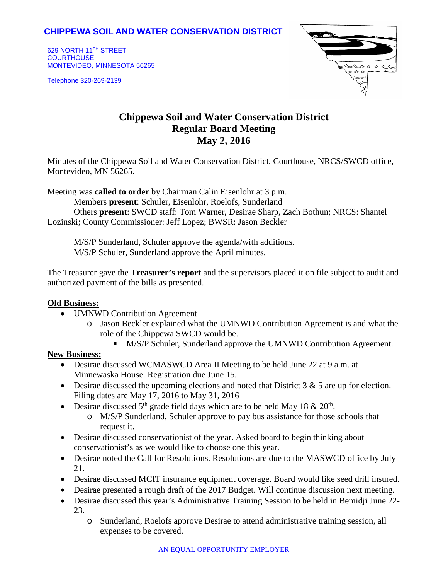## **CHIPPEWA SOIL AND WATER CONSERVATION DISTRICT**

629 NORTH 11TH STREET **COURTHOUSE** MONTEVIDEO, MINNESOTA 56265

Telephone 320-269-2139



# **Chippewa Soil and Water Conservation District Regular Board Meeting May 2, 2016**

Minutes of the Chippewa Soil and Water Conservation District, Courthouse, NRCS/SWCD office, Montevideo, MN 56265.

Meeting was **called to order** by Chairman Calin Eisenlohr at 3 p.m.

Members **present**: Schuler, Eisenlohr, Roelofs, Sunderland

Others **present**: SWCD staff: Tom Warner, Desirae Sharp, Zach Bothun; NRCS: Shantel Lozinski; County Commissioner: Jeff Lopez; BWSR: Jason Beckler

M/S/P Sunderland, Schuler approve the agenda/with additions. M/S/P Schuler, Sunderland approve the April minutes.

The Treasurer gave the **Treasurer's report** and the supervisors placed it on file subject to audit and authorized payment of the bills as presented.

### **Old Business:**

- UMNWD Contribution Agreement
	- o Jason Beckler explained what the UMNWD Contribution Agreement is and what the role of the Chippewa SWCD would be.
		- $\blacksquare$  M/S/P Schuler, Sunderland approve the UMNWD Contribution Agreement.

#### **New Business:**

- Desirae discussed WCMASWCD Area II Meeting to be held June 22 at 9 a.m. at Minnewaska House. Registration due June 15.
- Desirae discussed the upcoming elections and noted that District  $3 \& 5$  are up for election. Filing dates are May 17, 2016 to May 31, 2016
- Desirae discussed  $5<sup>th</sup>$  grade field days which are to be held May 18 & 20<sup>th</sup>.
	- o M/S/P Sunderland, Schuler approve to pay bus assistance for those schools that request it.
- Desirae discussed conservationist of the year. Asked board to begin thinking about conservationist's as we would like to choose one this year.
- Desirae noted the Call for Resolutions. Resolutions are due to the MASWCD office by July 21.
- Desirae discussed MCIT insurance equipment coverage. Board would like seed drill insured.
- Desirae presented a rough draft of the 2017 Budget. Will continue discussion next meeting.
- Desirae discussed this year's Administrative Training Session to be held in Bemidji June 22- 23.
	- o Sunderland, Roelofs approve Desirae to attend administrative training session, all expenses to be covered.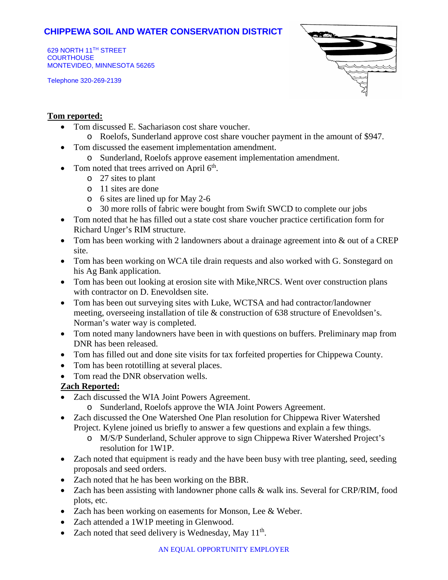## **CHIPPEWA SOIL AND WATER CONSERVATION DISTRICT**

629 NORTH 11TH STREET **COURTHOUSE** MONTEVIDEO, MINNESOTA 56265

Telephone 320-269-2139



### **Tom reported:**

- Tom discussed E. Sachariason cost share voucher.
	- o Roelofs, Sunderland approve cost share voucher payment in the amount of \$947.
- Tom discussed the easement implementation amendment.
	- o Sunderland, Roelofs approve easement implementation amendment.
- Tom noted that trees arrived on April  $6<sup>th</sup>$ .
	- o 27 sites to plant
	- $\circ$  11 sites are done
	- o 6 sites are lined up for May 2-6
	- o 30 more rolls of fabric were bought from Swift SWCD to complete our jobs
- Tom noted that he has filled out a state cost share voucher practice certification form for Richard Unger's RIM structure.
- Tom has been working with 2 landowners about a drainage agreement into & out of a CREP site.
- Tom has been working on WCA tile drain requests and also worked with G. Sonstegard on his Ag Bank application.
- Tom has been out looking at erosion site with Mike,NRCS. Went over construction plans with contractor on D. Enevoldsen site.
- Tom has been out surveying sites with Luke, WCTSA and had contractor/landowner meeting, overseeing installation of tile & construction of 638 structure of Enevoldsen's. Norman's water way is completed.
- Tom noted many landowners have been in with questions on buffers. Preliminary map from DNR has been released.
- Tom has filled out and done site visits for tax forfeited properties for Chippewa County.
- Tom has been rototilling at several places.
- Tom read the DNR observation wells.

### **Zach Reported:**

- Zach discussed the WIA Joint Powers Agreement.
	- o Sunderland, Roelofs approve the WIA Joint Powers Agreement.
- Zach discussed the One Watershed One Plan resolution for Chippewa River Watershed Project. Kylene joined us briefly to answer a few questions and explain a few things.
	- o M/S/P Sunderland, Schuler approve to sign Chippewa River Watershed Project's resolution for 1W1P.
- Zach noted that equipment is ready and the have been busy with tree planting, seed, seeding proposals and seed orders.
- Zach noted that he has been working on the BBR.
- Zach has been assisting with landowner phone calls & walk ins. Several for CRP/RIM, food plots, etc.
- Zach has been working on easements for Monson, Lee & Weber.
- Zach attended a 1W1P meeting in Glenwood.
- Zach noted that seed delivery is Wednesday, May  $11<sup>th</sup>$ .